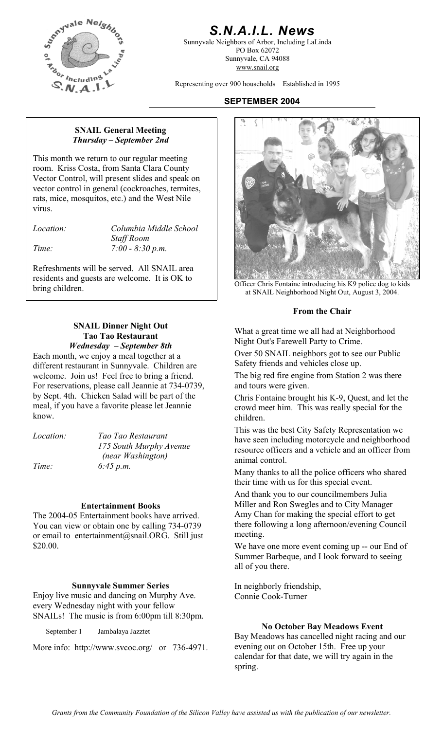

# *S.N.A.I.L. News*

Sunnyvale Neighbors of Arbor, Including LaLinda PO Box 62072 Sunnyvale, CA 94088 www.snail.org

Representing over 900 households Established in 1995

# **SEPTEMBER 2004**

### **SNAIL General Meeting**  *Thursday – September 2nd*

This month we return to our regular meeting room. Kriss Costa, from Santa Clara County Vector Control, will present slides and speak on vector control in general (cockroaches, termites, rats, mice, mosquitos, etc.) and the West Nile virus.

*Location: Columbia Middle School Staff Room Time: 7:00 - 8:30 p.m.* 

Refreshments will be served. All SNAIL area residents and guests are welcome. It is OK to

## **SNAIL Dinner Night Out Tao Tao Restaurant**  *Wednesday – September 8th*

Each month, we enjoy a meal together at a different restaurant in Sunnyvale. Children are welcome. Join us! Feel free to bring a friend. The big red fire engine from Station 2 was there For reservations, please call Jeannie at 734-0739, and tours were given. by Sept. 4th. Chicken Salad will be part of the meal, if you have a favorite please let Jeannie know.

| <i>Location:</i> | Tao Tao Restaurant      |
|------------------|-------------------------|
|                  | 175 South Murphy Avenue |
|                  | (near Washington)       |
| Time:            | $6:45 \, p.m.$          |

### **Entertainment Books**

The 2004-05 Entertainment books have arrived. You can view or obtain one by calling 734-0739 or email to entertainment@snail.ORG. Still just \$20.00. We have one more event coming up -- our End of

### **Sunnyvale Summer Series** In neighborly friendship,

Enjoy live music and dancing on Murphy Ave. every Wednesday night with your fellow SNAILs! The music is from 6:00pm till 8:30pm.

More info: http://www.svcoc.org/ or 736-4971.



bring children.<br>
Officer Chris Fontaine introducing his K9 police dog to kids<br>
officer Chris Fontaine introducing his K9 police dog to kids<br>
of SNAH Naighborhood Night Out August 3, 2004 at SNAIL Neighborhood Night Out, August 3, 2004.

### **From the Chair**

What a great time we all had at Neighborhood Night Out's Farewell Party to Crime.

Over 50 SNAIL neighbors got to see our Public Safety friends and vehicles close up.

Chris Fontaine brought his K-9, Quest, and let the crowd meet him. This was really special for the children.

This was the best City Safety Representation we have seen including motorcycle and neighborhood resource officers and a vehicle and an officer from animal control.

Many thanks to all the police officers who shared their time with us for this special event.

And thank you to our councilmembers Julia Miller and Ron Swegles and to City Manager Amy Chan for making the special effort to get there following a long afternoon/evening Council meeting.

Summer Barbeque, and I look forward to seeing all of you there.

Connie Cook-Turner

**No October Bay Meadows Event** September 1 Jambalaya Jazztet **Bay Meadows has cancelled night racing and our** evening out on October 15th. Free up your calendar for that date, we will try again in the spring.